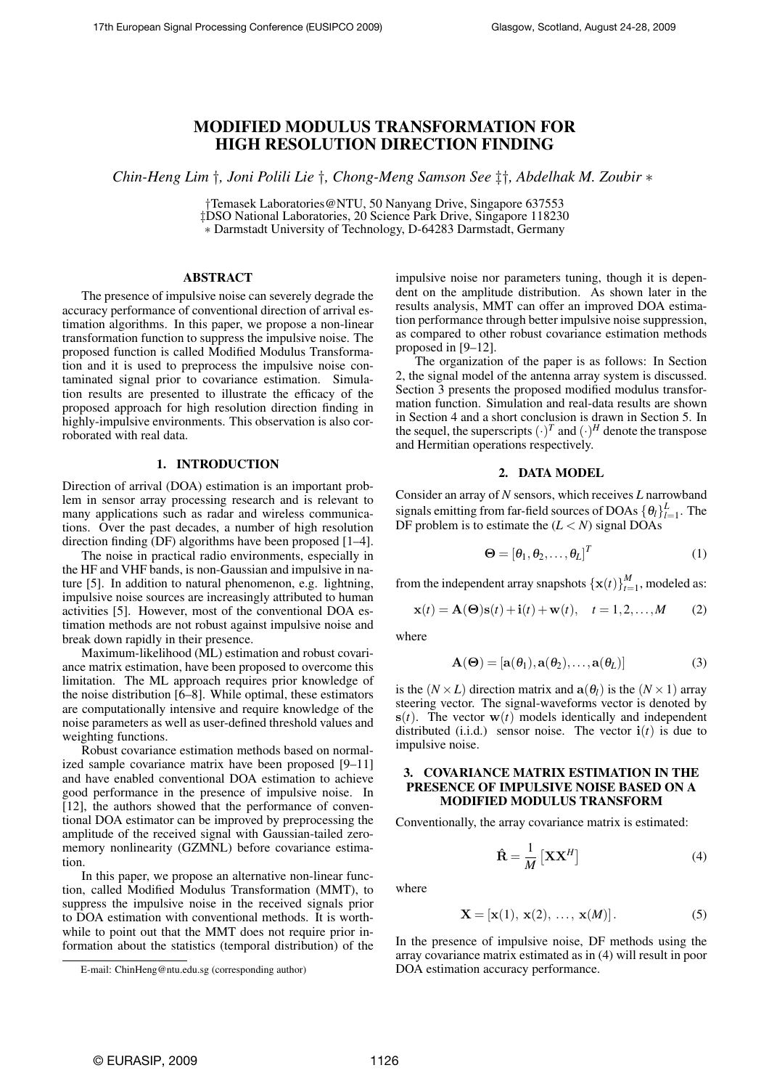# MODIFIED MODULUS TRANSFORMATION FOR HIGH RESOLUTION DIRECTION FINDING

*Chin-Heng Lim* †*, Joni Polili Lie* †*, Chong-Meng Samson See* ‡†*, Abdelhak M. Zoubir* ∗

†Temasek Laboratories@NTU, 50 Nanyang Drive, Singapore 637553 ‡DSO National Laboratories, 20 Science Park Drive, Singapore 118230

∗ Darmstadt University of Technology, D-64283 Darmstadt, Germany

#### ABSTRACT

The presence of impulsive noise can severely degrade the accuracy performance of conventional direction of arrival estimation algorithms. In this paper, we propose a non-linear transformation function to suppress the impulsive noise. The proposed function is called Modified Modulus Transformation and it is used to preprocess the impulsive noise contaminated signal prior to covariance estimation. Simulation results are presented to illustrate the efficacy of the proposed approach for high resolution direction finding in highly-impulsive environments. This observation is also corroborated with real data.

#### 1. INTRODUCTION

Direction of arrival (DOA) estimation is an important problem in sensor array processing research and is relevant to many applications such as radar and wireless communications. Over the past decades, a number of high resolution direction finding (DF) algorithms have been proposed [1–4].

The noise in practical radio environments, especially in the HF and VHF bands, is non-Gaussian and impulsive in nature [5]. In addition to natural phenomenon, e.g. lightning, impulsive noise sources are increasingly attributed to human activities [5]. However, most of the conventional DOA estimation methods are not robust against impulsive noise and break down rapidly in their presence.

Maximum-likelihood (ML) estimation and robust covariance matrix estimation, have been proposed to overcome this limitation. The ML approach requires prior knowledge of the noise distribution [6–8]. While optimal, these estimators are computationally intensive and require knowledge of the noise parameters as well as user-defined threshold values and weighting functions.

Robust covariance estimation methods based on normalized sample covariance matrix have been proposed [9–11] and have enabled conventional DOA estimation to achieve good performance in the presence of impulsive noise. In [12], the authors showed that the performance of conventional DOA estimator can be improved by preprocessing the amplitude of the received signal with Gaussian-tailed zeromemory nonlinearity (GZMNL) before covariance estimation.

In this paper, we propose an alternative non-linear function, called Modified Modulus Transformation (MMT), to suppress the impulsive noise in the received signals prior to DOA estimation with conventional methods. It is worthwhile to point out that the MMT does not require prior information about the statistics (temporal distribution) of the impulsive noise nor parameters tuning, though it is dependent on the amplitude distribution. As shown later in the results analysis, MMT can offer an improved DOA estimation performance through better impulsive noise suppression, as compared to other robust covariance estimation methods proposed in [9–12].

The organization of the paper is as follows: In Section 2, the signal model of the antenna array system is discussed. Section 3 presents the proposed modified modulus transformation function. Simulation and real-data results are shown in Section 4 and a short conclusion is drawn in Section 5. In the sequel, the superscripts  $(\cdot)^T$  and  $(\cdot)^H$  denote the transpose and Hermitian operations respectively.

## 2. DATA MODEL

Consider an array of *N* sensors, which receives *L* narrowband signals emitting from far-field sources of DOAs  $\{\theta_l\}_{l=1}^L$ . The DF problem is to estimate the  $(L < N)$  signal DOAs

$$
\mathbf{\Theta} = [\theta_1, \theta_2, \dots, \theta_L]^T
$$
 (1)

from the independent array snapshots  $\{\mathbf{x}(t)\}_{t=1}^M$ , modeled as:

$$
\mathbf{x}(t) = \mathbf{A}(\mathbf{\Theta})\mathbf{s}(t) + \mathbf{i}(t) + \mathbf{w}(t), \quad t = 1, 2, \dots, M \tag{2}
$$

where

$$
\mathbf{A}(\mathbf{\Theta}) = [\mathbf{a}(\theta_1), \mathbf{a}(\theta_2), \dots, \mathbf{a}(\theta_L)]
$$
 (3)

is the  $(N \times L)$  direction matrix and  $a(\theta_l)$  is the  $(N \times 1)$  array steering vector. The signal-waveforms vector is denoted by  $s(t)$ . The vector  $w(t)$  models identically and independent distributed (i.i.d.) sensor noise. The vector  $\mathbf{i}(t)$  is due to impulsive noise.

## 3. COVARIANCE MATRIX ESTIMATION IN THE PRESENCE OF IMPULSIVE NOISE BASED ON A MODIFIED MODULUS TRANSFORM

Conventionally, the array covariance matrix is estimated:

$$
\hat{\mathbf{R}} = \frac{1}{M} \left[ \mathbf{X} \mathbf{X}^H \right] \tag{4}
$$

where

$$
\mathbf{X} = [\mathbf{x}(1), \mathbf{x}(2), \dots, \mathbf{x}(M)]. \tag{5}
$$

In the presence of impulsive noise, DF methods using the array covariance matrix estimated as in (4) will result in poor DOA estimation accuracy performance.

E-mail: ChinHeng@ntu.edu.sg (corresponding author)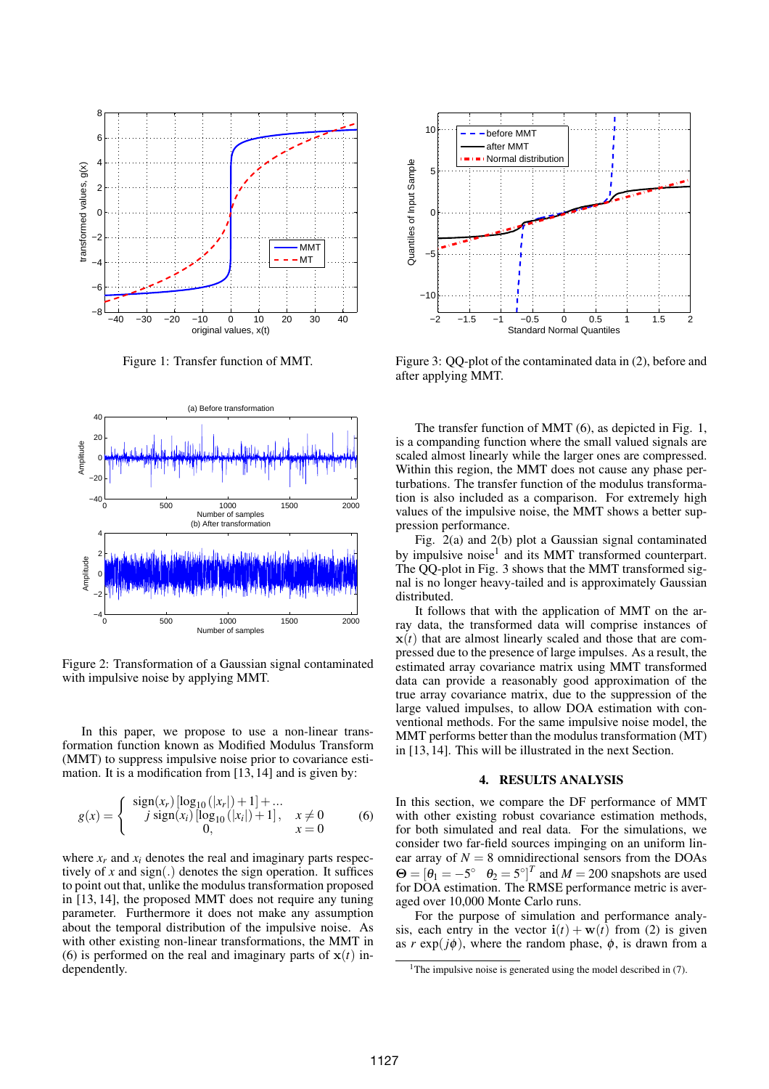

Figure 1: Transfer function of MMT.



Figure 2: Transformation of a Gaussian signal contaminated with impulsive noise by applying MMT.

In this paper, we propose to use a non-linear transformation function known as Modified Modulus Transform (MMT) to suppress impulsive noise prior to covariance estimation. It is a modification from [13, 14] and is given by:

$$
g(x) = \begin{cases} \n\text{sign}(x_r) [\log_{10}(|x_r|) + 1] + \dots \\
j \text{ sign}(x_i) [\log_{10}(|x_i|) + 1], & x \neq 0 \\
0, & x = 0\n\end{cases} \tag{6}
$$

where  $x_r$  and  $x_i$  denotes the real and imaginary parts respectively of  $x$  and  $sign(.)$  denotes the sign operation. It suffices to point out that, unlike the modulus transformation proposed in [13, 14], the proposed MMT does not require any tuning parameter. Furthermore it does not make any assumption about the temporal distribution of the impulsive noise. As with other existing non-linear transformations, the MMT in (6) is performed on the real and imaginary parts of  $x(t)$  independently.



Figure 3: QQ-plot of the contaminated data in (2), before and after applying MMT.

The transfer function of MMT (6), as depicted in Fig. 1, is a companding function where the small valued signals are scaled almost linearly while the larger ones are compressed. Within this region, the MMT does not cause any phase perturbations. The transfer function of the modulus transformation is also included as a comparison. For extremely high values of the impulsive noise, the MMT shows a better suppression performance.

Fig. 2(a) and 2(b) plot a Gaussian signal contaminated by impulsive noise<sup>1</sup> and its MMT transformed counterpart. The QQ-plot in Fig. 3 shows that the MMT transformed signal is no longer heavy-tailed and is approximately Gaussian distributed.

It follows that with the application of MMT on the array data, the transformed data will comprise instances of  $x(t)$  that are almost linearly scaled and those that are compressed due to the presence of large impulses. As a result, the estimated array covariance matrix using MMT transformed data can provide a reasonably good approximation of the true array covariance matrix, due to the suppression of the large valued impulses, to allow DOA estimation with conventional methods. For the same impulsive noise model, the MMT performs better than the modulus transformation (MT) in [13, 14]. This will be illustrated in the next Section.

#### 4. RESULTS ANALYSIS

In this section, we compare the DF performance of MMT with other existing robust covariance estimation methods, for both simulated and real data. For the simulations, we consider two far-field sources impinging on an uniform linear array of  $N = 8$  omnidirectional sensors from the DOAs  $\Theta = [\theta_1 = -5^\circ \ \theta_2 = 5^\circ]^T$  and  $M = 200$  snapshots are used for DOA estimation. The RMSE performance metric is averaged over 10,000 Monte Carlo runs.

For the purpose of simulation and performance analysis, each entry in the vector  $\mathbf{i}(t) + \mathbf{w}(t)$  from (2) is given as  $r \exp(j\phi)$ , where the random phase,  $\phi$ , is drawn from a

<sup>&</sup>lt;sup>1</sup>The impulsive noise is generated using the model described in  $(7)$ .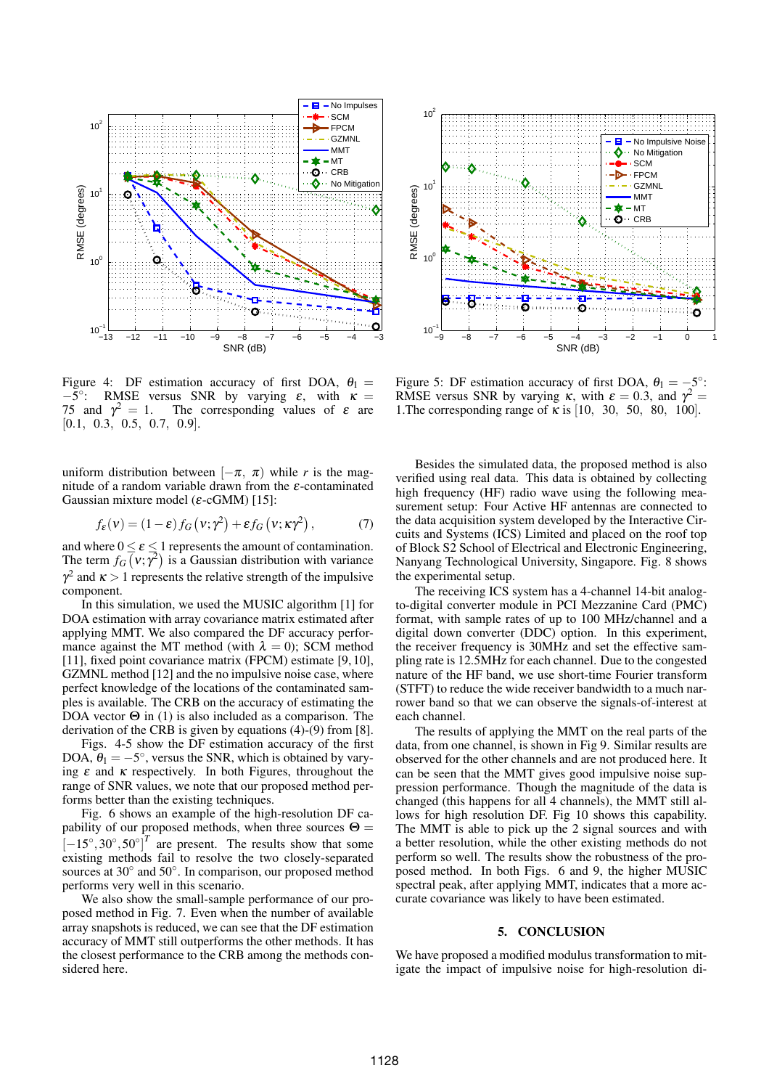

Figure 4: DF estimation accuracy of first DOA,  $\theta_1$  =  $-5^\circ$ RMSE versus SNR by varying  $\varepsilon$ , with  $\kappa$  = 75 and  $\gamma^2 = 1$ . The corresponding values of  $\varepsilon$  are [0.1, 0.3, 0.5, 0.7, 0.9].

uniform distribution between  $[-\pi, \pi)$  while *r* is the magnitude of a random variable drawn from the  $\varepsilon$ -contaminated Gaussian mixture model ( $\varepsilon$ -cGMM) [15]:

$$
f_{\varepsilon}(v) = (1 - \varepsilon) f_G(v; \gamma^2) + \varepsilon f_G(v; \kappa \gamma^2), \qquad (7)
$$

and where  $0 \le \varepsilon \le 1$  represents the amount of contamination. The term  $f_G(\vec{v}; \vec{\gamma}^2)$  is a Gaussian distribution with variance  $\gamma^2$  and  $\kappa > 1$  represents the relative strength of the impulsive component.

In this simulation, we used the MUSIC algorithm [1] for DOA estimation with array covariance matrix estimated after applying MMT. We also compared the DF accuracy performance against the MT method (with  $\lambda = 0$ ); SCM method [11], fixed point covariance matrix (FPCM) estimate [9, 10], GZMNL method [12] and the no impulsive noise case, where perfect knowledge of the locations of the contaminated samples is available. The CRB on the accuracy of estimating the DOA vector  $\Theta$  in (1) is also included as a comparison. The derivation of the CRB is given by equations (4)-(9) from [8].

Figs. 4-5 show the DF estimation accuracy of the first DOA,  $\theta_1 = -5^\circ$ , versus the SNR, which is obtained by varying  $\varepsilon$  and  $\kappa$  respectively. In both Figures, throughout the range of SNR values, we note that our proposed method performs better than the existing techniques.

Fig. 6 shows an example of the high-resolution DF capability of our proposed methods, when three sources  $\Theta =$  $[-15^\circ, 30^\circ, 50^\circ]^T$  are present. The results show that some existing methods fail to resolve the two closely-separated sources at 30° and 50°. In comparison, our proposed method performs very well in this scenario.

We also show the small-sample performance of our proposed method in Fig. 7. Even when the number of available array snapshots is reduced, we can see that the DF estimation accuracy of MMT still outperforms the other methods. It has the closest performance to the CRB among the methods considered here.



Figure 5: DF estimation accuracy of first DOA,  $\theta_1 = -5^\circ$ : RMSE versus SNR by varying  $\kappa$ , with  $\varepsilon = 0.3$ , and  $\gamma^2 =$ 1. The corresponding range of  $\kappa$  is [10, 30, 50, 80, 100].

Besides the simulated data, the proposed method is also verified using real data. This data is obtained by collecting high frequency (HF) radio wave using the following measurement setup: Four Active HF antennas are connected to the data acquisition system developed by the Interactive Circuits and Systems (ICS) Limited and placed on the roof top of Block S2 School of Electrical and Electronic Engineering, Nanyang Technological University, Singapore. Fig. 8 shows the experimental setup.

The receiving ICS system has a 4-channel 14-bit analogto-digital converter module in PCI Mezzanine Card (PMC) format, with sample rates of up to 100 MHz/channel and a digital down converter (DDC) option. In this experiment, the receiver frequency is 30MHz and set the effective sampling rate is 12.5MHz for each channel. Due to the congested nature of the HF band, we use short-time Fourier transform (STFT) to reduce the wide receiver bandwidth to a much narrower band so that we can observe the signals-of-interest at each channel.

The results of applying the MMT on the real parts of the data, from one channel, is shown in Fig 9. Similar results are observed for the other channels and are not produced here. It can be seen that the MMT gives good impulsive noise suppression performance. Though the magnitude of the data is changed (this happens for all 4 channels), the MMT still allows for high resolution DF. Fig 10 shows this capability. The MMT is able to pick up the 2 signal sources and with a better resolution, while the other existing methods do not perform so well. The results show the robustness of the proposed method. In both Figs. 6 and 9, the higher MUSIC spectral peak, after applying MMT, indicates that a more accurate covariance was likely to have been estimated.

### 5. CONCLUSION

We have proposed a modified modulus transformation to mitigate the impact of impulsive noise for high-resolution di-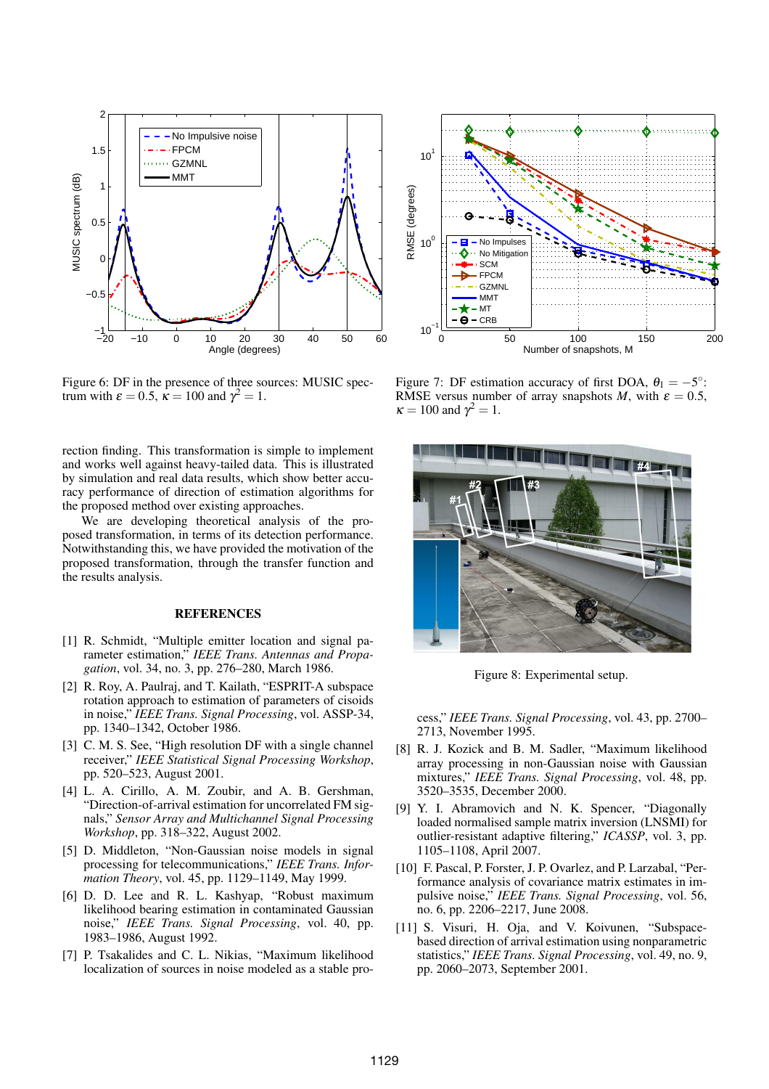

Figure 6: DF in the presence of three sources: MUSIC spectrum with  $\varepsilon = 0.5$ ,  $\vec{k} = 100$  and  $\gamma^2 = 1$ .

rection finding. This transformation is simple to implement and works well against heavy-tailed data. This is illustrated by simulation and real data results, which show better accuracy performance of direction of estimation algorithms for the proposed method over existing approaches.

We are developing theoretical analysis of the proposed transformation, in terms of its detection performance. Notwithstanding this, we have provided the motivation of the proposed transformation, through the transfer function and the results analysis.

## **REFERENCES**

- [1] R. Schmidt, "Multiple emitter location and signal parameter estimation," *IEEE Trans. Antennas and Propagation*, vol. 34, no. 3, pp. 276–280, March 1986.
- [2] R. Roy, A. Paulraj, and T. Kailath, "ESPRIT-A subspace rotation approach to estimation of parameters of cisoids in noise," *IEEE Trans. Signal Processing*, vol. ASSP-34, pp. 1340–1342, October 1986.
- [3] C. M. S. See, "High resolution DF with a single channel receiver," *IEEE Statistical Signal Processing Workshop*, pp. 520–523, August 2001.
- [4] L. A. Cirillo, A. M. Zoubir, and A. B. Gershman, "Direction-of-arrival estimation for uncorrelated FM signals," *Sensor Array and Multichannel Signal Processing Workshop*, pp. 318–322, August 2002.
- [5] D. Middleton, "Non-Gaussian noise models in signal processing for telecommunications," *IEEE Trans. Information Theory*, vol. 45, pp. 1129–1149, May 1999.
- [6] D. D. Lee and R. L. Kashyap, "Robust maximum likelihood bearing estimation in contaminated Gaussian noise," *IEEE Trans. Signal Processing*, vol. 40, pp. 1983–1986, August 1992.
- [7] P. Tsakalides and C. L. Nikias, "Maximum likelihood localization of sources in noise modeled as a stable pro-



Figure 7: DF estimation accuracy of first DOA,  $\theta_1 = -5^\circ$ : RMSE versus number of array snapshots *M*, with  $\varepsilon = 0.5$ ,  $\kappa = 100$  and  $\gamma^2 = 1$ .



Figure 8: Experimental setup.

cess," *IEEE Trans. Signal Processing*, vol. 43, pp. 2700– 2713, November 1995.

- [8] R. J. Kozick and B. M. Sadler, "Maximum likelihood array processing in non-Gaussian noise with Gaussian mixtures," *IEEE Trans. Signal Processing*, vol. 48, pp. 3520–3535, December 2000.
- [9] Y. I. Abramovich and N. K. Spencer, "Diagonally loaded normalised sample matrix inversion (LNSMI) for outlier-resistant adaptive filtering," *ICASSP*, vol. 3, pp. 1105–1108, April 2007.
- [10] F. Pascal, P. Forster, J. P. Ovarlez, and P. Larzabal, "Performance analysis of covariance matrix estimates in impulsive noise," *IEEE Trans. Signal Processing*, vol. 56, no. 6, pp. 2206–2217, June 2008.
- [11] S. Visuri, H. Oja, and V. Koivunen, "Subspacebased direction of arrival estimation using nonparametric statistics," *IEEE Trans. Signal Processing*, vol. 49, no. 9, pp. 2060–2073, September 2001.